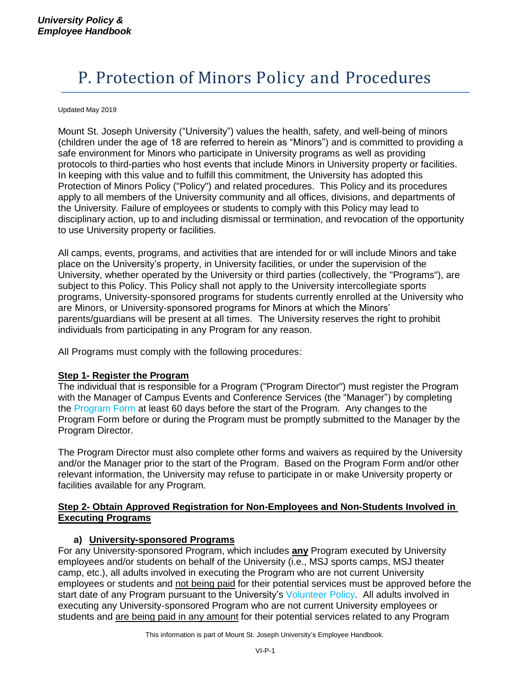# P. Protection of Minors Policy and Procedures

#### Updated May 2019

Mount St. Joseph University ("University") values the health, safety, and well-being of minors (children under the age of 18 are referred to herein as "Minors") and is committed to providing a safe environment for Minors who participate in University programs as well as providing protocols to third-parties who host events that include Minors in University property or facilities. In keeping with this value and to fulfill this commitment, the University has adopted this Protection of Minors Policy ("Policy") and related procedures. This Policy and its procedures apply to all members of the University community and all offices, divisions, and departments of the University. Failure of employees or students to comply with this Policy may lead to disciplinary action, up to and including dismissal or termination, and revocation of the opportunity to use University property or facilities.

All camps, events, programs, and activities that are intended for or will include Minors and take place on the University's property, in University facilities, or under the supervision of the University, whether operated by the University or third parties (collectively, the "Programs"), are subject to this Policy. This Policy shall not apply to the University intercollegiate sports programs, University-sponsored programs for students currently enrolled at the University who are Minors, or University-sponsored programs for Minors at which the Minors' parents/guardians will be present at all times. The University reserves the right to prohibit individuals from participating in any Program for any reason.

All Programs must comply with the following procedures:

### **Step 1- Register the Program**

The individual that is responsible for a Program ("Program Director") must register the Program with the Manager of Campus Events and Conference Services (the "Manager") by completing the Program Form at least 60 days before the start of the Program. Any changes to the Program Form before or during the Program must be promptly submitted to the Manager by the Program Director.

The Program Director must also complete other forms and waivers as required by the University and/or the Manager prior to the start of the Program. Based on the Program Form and/or other relevant information, the University may refuse to participate in or make University property or facilities available for any Program.

#### **Step 2- Obtain Approved Registration for Non-Employees and Non-Students Involved in Executing Programs**

### **a) University-sponsored Programs**

For any University-sponsored Program, which includes **any** Program executed by University employees and/or students on behalf of the University (i.e., MSJ sports camps, MSJ theater camp, etc.), all adults involved in executing the Program who are not current University employees or students and not being paid for their potential services must be approved before the start date of any Program pursuant to the University's Volunteer Policy. All adults involved in executing any University-sponsored Program who are not current University employees or students and are being paid in any amount for their potential services related to any Program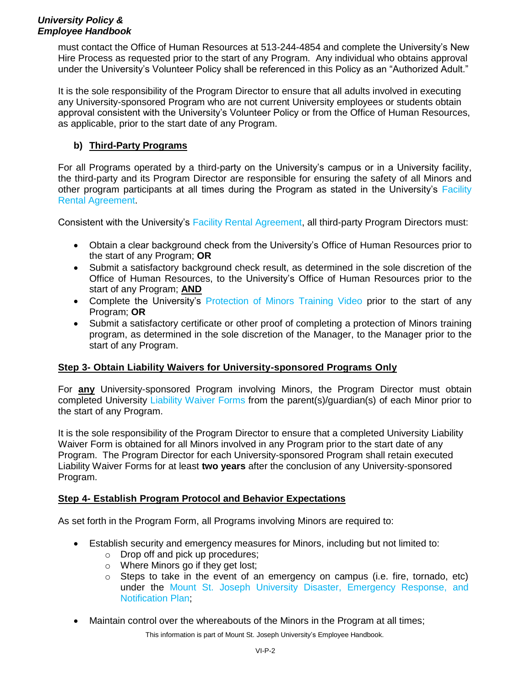## *University Policy & Employee Handbook*

must contact the Office of Human Resources at 513-244-4854 and complete the University's New Hire Process as requested prior to the start of any Program. Any individual who obtains approval under the University's Volunteer Policy shall be referenced in this Policy as an "Authorized Adult."

It is the sole responsibility of the Program Director to ensure that all adults involved in executing any University-sponsored Program who are not current University employees or students obtain approval consistent with the University's Volunteer Policy or from the Office of Human Resources, as applicable, prior to the start date of any Program.

# **b) Third-Party Programs**

For all Programs operated by a third-party on the University's campus or in a University facility, the third-party and its Program Director are responsible for ensuring the safety of all Minors and other program participants at all times during the Program as stated in the University's Facility Rental Agreement.

Consistent with the University's Facility Rental Agreement, all third-party Program Directors must:

- Obtain a clear background check from the University's Office of Human Resources prior to the start of any Program; **OR**
- Submit a satisfactory background check result, as determined in the sole discretion of the Office of Human Resources, to the University's Office of Human Resources prior to the start of any Program; **AND**
- Complete the University's Protection of Minors Training Video prior to the start of any Program; **OR**
- Submit a satisfactory certificate or other proof of completing a protection of Minors training program, as determined in the sole discretion of the Manager, to the Manager prior to the start of any Program.

### **Step 3- Obtain Liability Waivers for University-sponsored Programs Only**

For **any** University-sponsored Program involving Minors, the Program Director must obtain completed University Liability Waiver Forms from the parent(s)/guardian(s) of each Minor prior to the start of any Program.

It is the sole responsibility of the Program Director to ensure that a completed University Liability Waiver Form is obtained for all Minors involved in any Program prior to the start date of any Program. The Program Director for each University-sponsored Program shall retain executed Liability Waiver Forms for at least **two years** after the conclusion of any University-sponsored Program.

### **Step 4- Establish Program Protocol and Behavior Expectations**

As set forth in the Program Form, all Programs involving Minors are required to:

- Establish security and emergency measures for Minors, including but not limited to:
	- o Drop off and pick up procedures;
	- o Where Minors go if they get lost;
	- $\circ$  Steps to take in the event of an emergency on campus (i.e. fire, tornado, etc) under the Mount St. Joseph University Disaster, Emergency Response, and Notification Plan;
- Maintain control over the whereabouts of the Minors in the Program at all times;

This information is part of Mount St. Joseph University's Employee Handbook.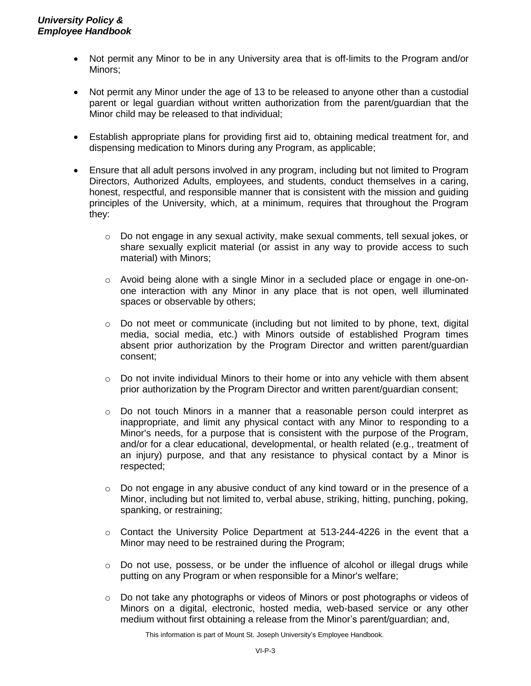- Not permit any Minor to be in any University area that is off-limits to the Program and/or Minors;
- Not permit any Minor under the age of 13 to be released to anyone other than a custodial parent or legal guardian without written authorization from the parent/guardian that the Minor child may be released to that individual;
- Establish appropriate plans for providing first aid to, obtaining medical treatment for, and dispensing medication to Minors during any Program, as applicable;
- Ensure that all adult persons involved in any program, including but not limited to Program Directors, Authorized Adults, employees, and students, conduct themselves in a caring, honest, respectful, and responsible manner that is consistent with the mission and guiding principles of the University, which, at a minimum, requires that throughout the Program they:
	- $\circ$  Do not engage in any sexual activity, make sexual comments, tell sexual jokes, or share sexually explicit material (or assist in any way to provide access to such material) with Minors;
	- o Avoid being alone with a single Minor in a secluded place or engage in one-onone interaction with any Minor in any place that is not open, well illuminated spaces or observable by others;
	- o Do not meet or communicate (including but not limited to by phone, text, digital media, social media, etc.) with Minors outside of established Program times absent prior authorization by the Program Director and written parent/guardian consent;
	- $\circ$  Do not invite individual Minors to their home or into any vehicle with them absent prior authorization by the Program Director and written parent/guardian consent;
	- $\circ$  Do not touch Minors in a manner that a reasonable person could interpret as inappropriate, and limit any physical contact with any Minor to responding to a Minor's needs, for a purpose that is consistent with the purpose of the Program, and/or for a clear educational, developmental, or health related (e.g., treatment of an injury) purpose, and that any resistance to physical contact by a Minor is respected;
	- $\circ$  Do not engage in any abusive conduct of any kind toward or in the presence of a Minor, including but not limited to, verbal abuse, striking, hitting, punching, poking, spanking, or restraining;
	- $\circ$  Contact the University Police Department at 513-244-4226 in the event that a Minor may need to be restrained during the Program;
	- $\circ$  Do not use, possess, or be under the influence of alcohol or illegal drugs while putting on any Program or when responsible for a Minor's welfare;
	- $\circ$  Do not take any photographs or videos of Minors or post photographs or videos of Minors on a digital, electronic, hosted media, web-based service or any other medium without first obtaining a release from the Minor's parent/guardian; and,

This information is part of Mount St. Joseph University's Employee Handbook.